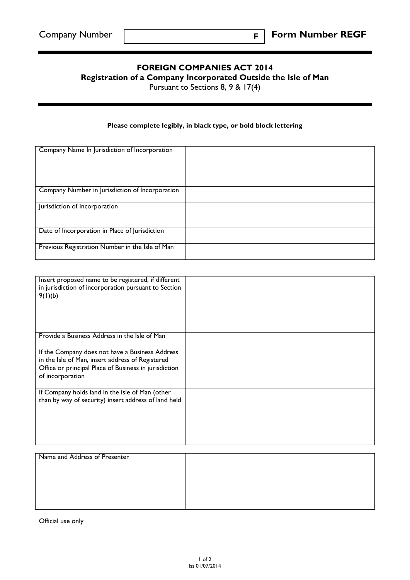## **FOREIGN COMPANIES ACT 2014**

**F**

**Registration of a Company Incorporated Outside the Isle of Man**

Pursuant to Sections 8, 9 & 17(4)

## **Please complete legibly, in black type, or bold block lettering**

| Company Name In Jurisdiction of Incorporation   |  |
|-------------------------------------------------|--|
|                                                 |  |
| Company Number in Jurisdiction of Incorporation |  |
| Jurisdiction of Incorporation                   |  |
| Date of Incorporation in Place of Jurisdiction  |  |
| Previous Registration Number in the Isle of Man |  |

| Insert proposed name to be registered, if different<br>in jurisdiction of incorporation pursuant to Section<br>9(1)(b)                                                           |  |
|----------------------------------------------------------------------------------------------------------------------------------------------------------------------------------|--|
| Provide a Business Address in the Isle of Man                                                                                                                                    |  |
| If the Company does not have a Business Address<br>in the Isle of Man, insert address of Registered<br>Office or principal Place of Business in jurisdiction<br>of incorporation |  |
| If Company holds land in the Isle of Man (other                                                                                                                                  |  |
| than by way of security) insert address of land held                                                                                                                             |  |
|                                                                                                                                                                                  |  |

| Name and Address of Presenter |  |
|-------------------------------|--|
|                               |  |
|                               |  |
|                               |  |
|                               |  |
|                               |  |

Official use only